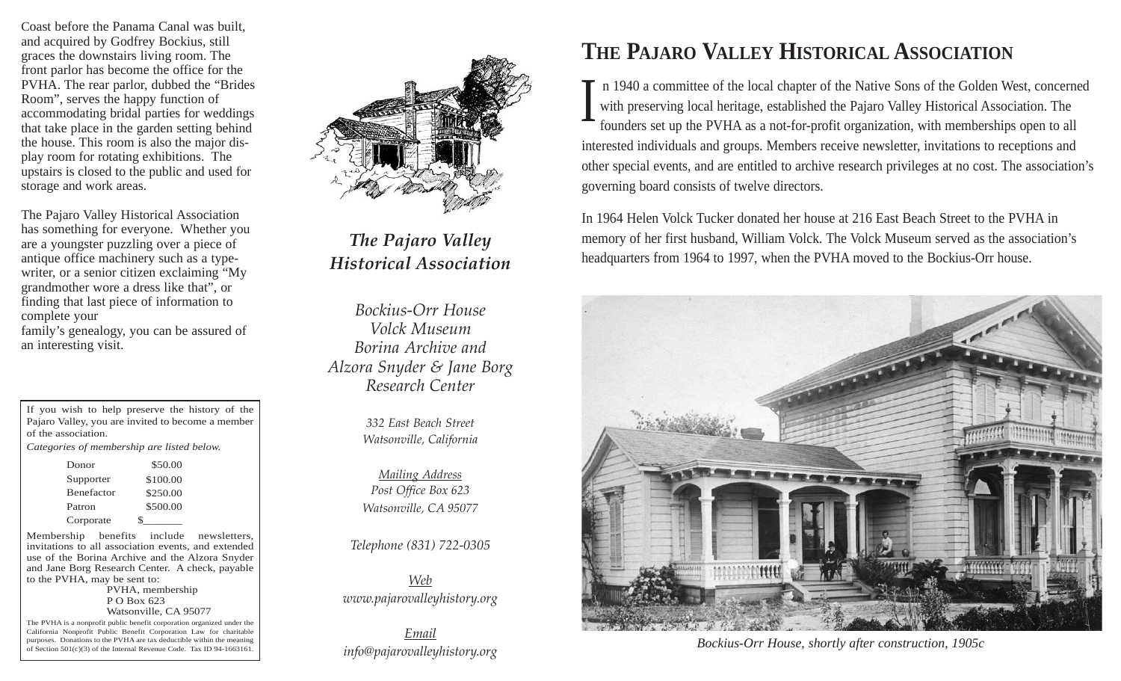Coast before the Panama Canal was built, and acquired by Godfrey Bockius, still graces the downstairs living room. The front parlor has become the office for the PVHA. The rear parlor, dubbed the "Brides Room", serves the happy function of accommodating bridal parties for weddings that take place in the garden setting behind the house. This room is also the major display room for rotating exhibitions. The upstairs is closed to the public and used for storage and work areas.

The Pajaro Valley Historical Association has something for everyone. Whether you are a youngster puzzling over a piece of antique office machinery such as a typewriter, or a senior citizen exclaiming "My grandmother wore a dress like that", or finding that last piece of information to complete your family's genealogy, you can be assured of an interesting visit.

| If you wish to help preserve the history of the   |  |
|---------------------------------------------------|--|
| Pajaro Valley, you are invited to become a member |  |
| of the association.                               |  |

*Categories of membership are listed below.*

| Donor             | \$50.00  |
|-------------------|----------|
| Supporter         | \$100.00 |
| <b>Benefactor</b> | \$250.00 |
| Patron            | \$500.00 |
| Corporate         | Ч.       |

Membership benefits include newsletters, invitations to all association events, and extended use of the Borina Archive and the Alzora Snyder and Jane Borg Research Center. A check, payable to the PVHA, may be sent to: PVHA, membership

P O Box 623 Watsonville, CA 95077

The PVHA is a nonprofit public benefit corporation organized under the California Nonprofit Public Benefit Corporation Law for charitable purposes. Donations to the PVHA are tax deductible within the meaning of Section 501(c)(3) of the Internal Revenue Code. Tax ID 94-1663161.



*The Pajaro Valley Historical Association*

*Bockius-Orr House Volck Museum Borina Archive and Alzora Snyder & Jane Borg Research Center*

> *332 East Beach Street Watsonville, California*

*Mailing Address Post Office Box 623 Watsonville, CA 95077*

*Telephone (831) 722-0305*

*Web www.pajarovalleyhistory.org*

*Email info@pajarovalleyhistory.org*

### **THE PAJARO VALLEY HISTORICAL ASSOCIATION**

n 1940 a committee of the local chapter of the Native Sons of the Golden West, concerned with preserving local heritage, established the Pajaro Valley Historical Association. The founders set up the PVHA as a not-for-profit organization, with memberships open to all interested individuals and groups. Members receive newsletter, invitations to receptions and other special events, and are entitled to archive research privileges at no cost. The association's governing board consists of twelve directors.  $\bf{l}$ 

In 1964 Helen Volck Tucker donated her house at 216 East Beach Street to the PVHA in memory of her first husband, William Volck. The Volck Museum served as the association's headquarters from 1964 to 1997, when the PVHA moved to the Bockius-Orr house.



*Bockius-Orr House, shortly after construction, 1905c*